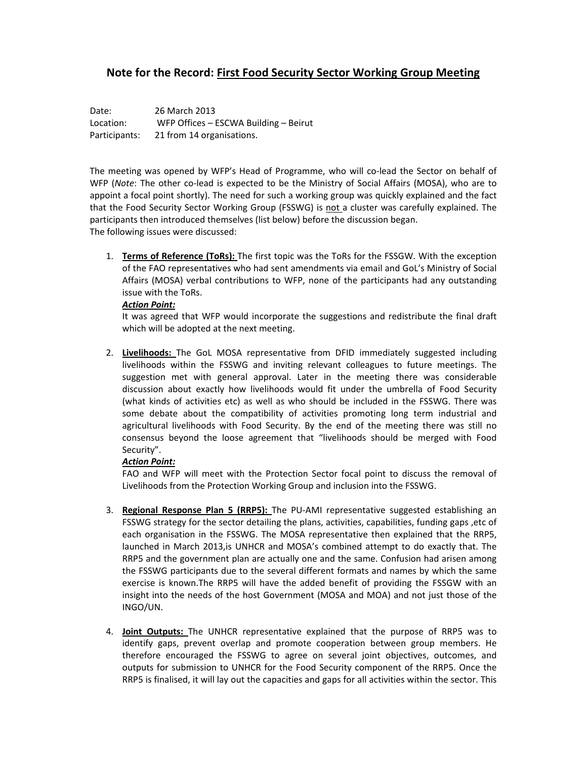## **Note for the Record: First Food Security Sector Working Group Meeting**

Date: 26 March 2013 Location: WFP Offices – ESCWA Building – Beirut Participants: 21 from 14 organisations.

The meeting was opened by WFP's Head of Programme, who will co-lead the Sector on behalf of WFP (*Note*: The other co-lead is expected to be the Ministry of Social Affairs (MOSA), who are to appoint a focal point shortly). The need for such a working group was quickly explained and the fact that the Food Security Sector Working Group (FSSWG) is not a cluster was carefully explained. The participants then introduced themselves (list below) before the discussion began. The following issues were discussed:

1. **Terms of Reference (ToRs):** The first topic was the ToRs for the FSSGW. With the exception of the FAO representatives who had sent amendments via email and GoL's Ministry of Social Affairs (MOSA) verbal contributions to WFP, none of the participants had any outstanding issue with the ToRs.

## *Action Point:*

It was agreed that WFP would incorporate the suggestions and redistribute the final draft which will be adopted at the next meeting.

2. **Livelihoods:** The GoL MOSA representative from DFID immediately suggested including livelihoods within the FSSWG and inviting relevant colleagues to future meetings. The suggestion met with general approval. Later in the meeting there was considerable discussion about exactly how livelihoods would fit under the umbrella of Food Security (what kinds of activities etc) as well as who should be included in the FSSWG. There was some debate about the compatibility of activities promoting long term industrial and agricultural livelihoods with Food Security. By the end of the meeting there was still no consensus beyond the loose agreement that "livelihoods should be merged with Food Security".

## *Action Point:*

FAO and WFP will meet with the Protection Sector focal point to discuss the removal of Livelihoods from the Protection Working Group and inclusion into the FSSWG.

- 3. **Regional Response Plan 5 (RRP5):** The PU‐AMI representative suggested establishing an FSSWG strategy for the sector detailing the plans, activities, capabilities, funding gaps ,etc of each organisation in the FSSWG. The MOSA representative then explained that the RRP5, launched in March 2013,is UNHCR and MOSA's combined attempt to do exactly that. The RRP5 and the government plan are actually one and the same. Confusion had arisen among the FSSWG participants due to the several different formats and names by which the same exercise is known.The RRP5 will have the added benefit of providing the FSSGW with an insight into the needs of the host Government (MOSA and MOA) and not just those of the INGO/UN.
- 4. **Joint Outputs:** The UNHCR representative explained that the purpose of RRP5 was to identify gaps, prevent overlap and promote cooperation between group members. He therefore encouraged the FSSWG to agree on several joint objectives, outcomes, and outputs for submission to UNHCR for the Food Security component of the RRP5. Once the RRP5 is finalised, it will lay out the capacities and gaps for all activities within the sector. This